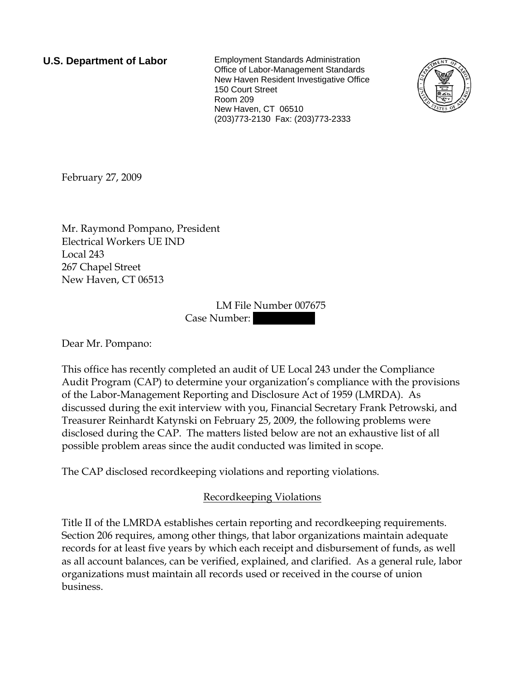**U.S. Department of Labor** Employment Standards Administration Office of Labor-Management Standards New Haven Resident Investigative Office 150 Court Street Room 209 New Haven, CT 06510 (203)773-2130 Fax: (203)773-2333



February 27, 2009

Mr. Raymond Pompano, President Electrical Workers UE IND Local 243 267 Chapel Street New Haven, CT 06513

> LM File Number 007675 Case Number:

Dear Mr. Pompano:

This office has recently completed an audit of UE Local 243 under the Compliance Audit Program (CAP) to determine your organization's compliance with the provisions of the Labor-Management Reporting and Disclosure Act of 1959 (LMRDA). As discussed during the exit interview with you, Financial Secretary Frank Petrowski, and Treasurer Reinhardt Katynski on February 25, 2009, the following problems were disclosed during the CAP. The matters listed below are not an exhaustive list of all possible problem areas since the audit conducted was limited in scope.

The CAP disclosed recordkeeping violations and reporting violations.

## Recordkeeping Violations

Title II of the LMRDA establishes certain reporting and recordkeeping requirements. Section 206 requires, among other things, that labor organizations maintain adequate records for at least five years by which each receipt and disbursement of funds, as well as all account balances, can be verified, explained, and clarified. As a general rule, labor organizations must maintain all records used or received in the course of union business.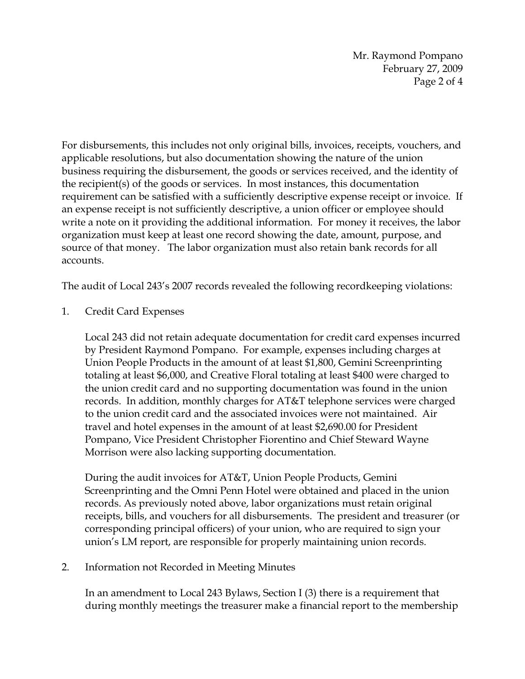Mr. Raymond Pompano February 27, 2009 Page 2 of 4

For disbursements, this includes not only original bills, invoices, receipts, vouchers, and applicable resolutions, but also documentation showing the nature of the union business requiring the disbursement, the goods or services received, and the identity of the recipient(s) of the goods or services. In most instances, this documentation requirement can be satisfied with a sufficiently descriptive expense receipt or invoice. If an expense receipt is not sufficiently descriptive, a union officer or employee should write a note on it providing the additional information. For money it receives, the labor organization must keep at least one record showing the date, amount, purpose, and source of that money. The labor organization must also retain bank records for all accounts.

The audit of Local 243's 2007 records revealed the following recordkeeping violations:

1. Credit Card Expenses

Local 243 did not retain adequate documentation for credit card expenses incurred by President Raymond Pompano. For example, expenses including charges at Union People Products in the amount of at least \$1,800, Gemini Screenprinting totaling at least \$6,000, and Creative Floral totaling at least \$400 were charged to the union credit card and no supporting documentation was found in the union records. In addition, monthly charges for AT&T telephone services were charged to the union credit card and the associated invoices were not maintained. Air travel and hotel expenses in the amount of at least \$2,690.00 for President Pompano, Vice President Christopher Fiorentino and Chief Steward Wayne Morrison were also lacking supporting documentation.

During the audit invoices for AT&T, Union People Products, Gemini Screenprinting and the Omni Penn Hotel were obtained and placed in the union records. As previously noted above, labor organizations must retain original receipts, bills, and vouchers for all disbursements. The president and treasurer (or corresponding principal officers) of your union, who are required to sign your union's LM report, are responsible for properly maintaining union records.

## 2. Information not Recorded in Meeting Minutes

In an amendment to Local 243 Bylaws, Section I (3) there is a requirement that during monthly meetings the treasurer make a financial report to the membership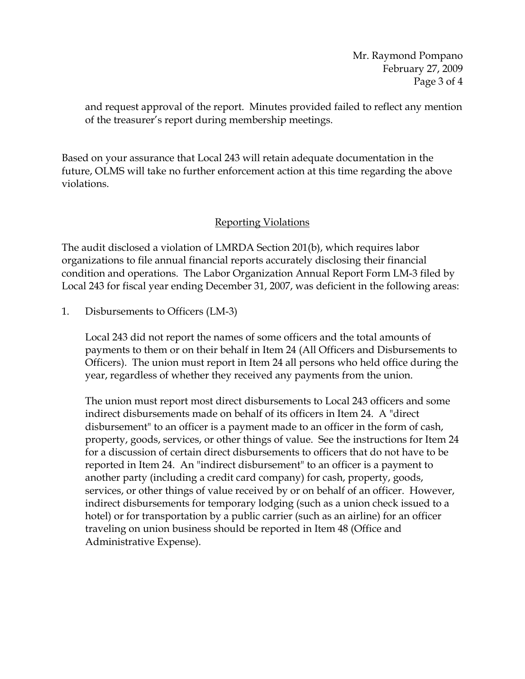and request approval of the report. Minutes provided failed to reflect any mention of the treasurer's report during membership meetings.

Based on your assurance that Local 243 will retain adequate documentation in the future, OLMS will take no further enforcement action at this time regarding the above violations.

## Reporting Violations

The audit disclosed a violation of LMRDA Section 201(b), which requires labor organizations to file annual financial reports accurately disclosing their financial condition and operations. The Labor Organization Annual Report Form LM-3 filed by Local 243 for fiscal year ending December 31, 2007, was deficient in the following areas:

## 1. Disbursements to Officers (LM-3)

Local 243 did not report the names of some officers and the total amounts of payments to them or on their behalf in Item 24 (All Officers and Disbursements to Officers). The union must report in Item 24 all persons who held office during the year, regardless of whether they received any payments from the union.

The union must report most direct disbursements to Local 243 officers and some indirect disbursements made on behalf of its officers in Item 24. A "direct disbursement" to an officer is a payment made to an officer in the form of cash, property, goods, services, or other things of value. See the instructions for Item 24 for a discussion of certain direct disbursements to officers that do not have to be reported in Item 24. An "indirect disbursement" to an officer is a payment to another party (including a credit card company) for cash, property, goods, services, or other things of value received by or on behalf of an officer. However, indirect disbursements for temporary lodging (such as a union check issued to a hotel) or for transportation by a public carrier (such as an airline) for an officer traveling on union business should be reported in Item 48 (Office and Administrative Expense).